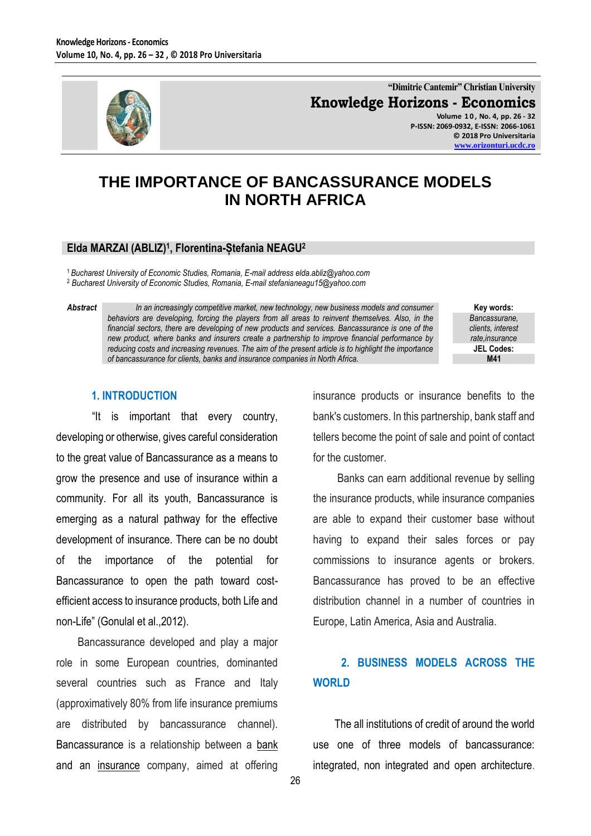

**"Dimitrie Cantemir" Christian University Knowledge Horizons - Economics Volume 1 0 , No. 4, pp. 26 - 32**

**P-ISSN: 2069-0932, E-ISSN: 2066-1061 © 2018 Pro Universitaria [www.orizonturi.ucdc.ro](http://www.orizonturi.ucdc.ro/)**

## **THE IMPORTANCE OF BANCASSURANCE MODELS IN NORTH AFRICA**

#### **Elda MARZAI (ABLIZ)<sup>1</sup> , Florentina-Ștefania NEAGU<sup>2</sup>**

<sup>1</sup>*Bucharest University of Economic Studies, Romania, E-mail address elda.abliz@yahoo.com* <sup>2</sup> *Bucharest University of Economic Studies, Romania, E-mail stefanianeagu15@yahoo.com*

*Abstract In an increasingly competitive market, new technology, new business models and consumer behaviors are developing, forcing the players from all areas to reinvent themselves. Also, in the financial sectors, there are developing of new products and services. Bancassurance is one of the new product, where banks and insurers create a partnership to improve financial performance by reducing costs and increasing revenues. The aim of the present article is to highlight the importance of bancassurance for clients, banks and insurance companies in North Africa.*

**Key words:** *Bancassurane, clients, interest rate,insurance* **JEL Codes: M41**

#### **1. INTRODUCTION**

"It is important that every country, developing or otherwise, gives careful consideration to the great value of Bancassurance as a means to grow the presence and use of insurance within a community. For all its youth, Bancassurance is emerging as a natural pathway for the effective development of insurance. There can be no doubt of the importance of the potential for Bancassurance to open the path toward costefficient access to insurance products, both Life and non-Life" (Gonulal et al.,2012).

Bancassurance developed and play a major role in some European countries, dominanted several countries such as France and Italy (approximatively 80% from life insurance premiums are distributed by bancassurance channel). Bancassurance is a relationship between a [bank](https://en.wikipedia.org/wiki/Bank) and an [insurance](https://en.wikipedia.org/wiki/Insurance) company, aimed at offering

insurance products or insurance benefits to the bank's customers. In this partnership, bank staff and tellers become the point of sale and point of contact for the customer.

Banks can earn additional revenue by selling the insurance products, while insurance companies are able to expand their customer base without having to expand their sales forces or pay commissions to insurance agents or brokers. Bancassurance has proved to be an effective distribution channel in a number of countries in Europe, Latin America, Asia and Australia.

#### **2. BUSINESS MODELS ACROSS THE WORLD**

The all institutions of credit of around the world use one of three models of bancassurance: integrated, non integrated and open architecture.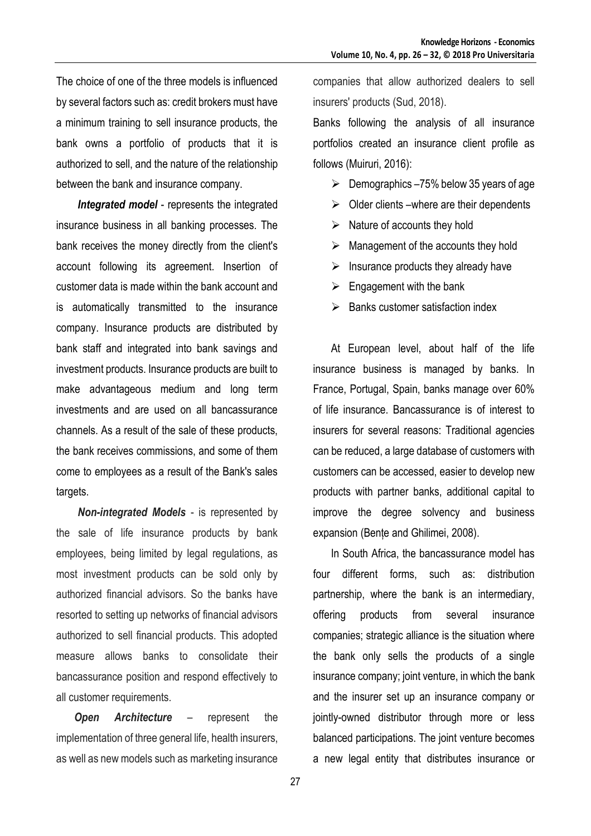The choice of one of the three models is influenced by several factors such as: credit brokers must have a minimum training to sell insurance products, the bank owns a portfolio of products that it is authorized to sell, and the nature of the relationship between the bank and insurance company.

*Integrated model* - represents the integrated insurance business in all banking processes. The bank receives the money directly from the client's account following its agreement. Insertion of customer data is made within the bank account and is automatically transmitted to the insurance company. Insurance products are distributed by bank staff and integrated into bank savings and investment products. Insurance products are built to make advantageous medium and long term investments and are used on all bancassurance channels. As a result of the sale of these products, the bank receives commissions, and some of them come to employees as a result of the Bank's sales targets.

*Non-integrated Models* - is represented by the sale of life insurance products by bank employees, being limited by legal regulations, as most investment products can be sold only by authorized financial advisors. So the banks have resorted to setting up networks of financial advisors authorized to sell financial products. This adopted measure allows banks to consolidate their bancassurance position and respond effectively to all customer requirements.

*Open Architecture* – represent the implementation of three general life, health insurers, as well as new models such as marketing insurance companies that allow authorized dealers to sell insurers' products (Sud, 2018).

Banks following the analysis of all insurance portfolios created an insurance client profile as follows (Muiruri, 2016):

- $\geq$  Demographics –75% below 35 years of age
- $\triangleright$  Older clients –where are their dependents
- $\triangleright$  Nature of accounts they hold
- $\triangleright$  Management of the accounts they hold
- $\triangleright$  Insurance products they already have
- $\triangleright$  Engagement with the bank
- $\triangleright$  Banks customer satisfaction index

At European level, about half of the life insurance business is managed by banks. In France, Portugal, Spain, banks manage over 60% of life insurance. Bancassurance is of interest to insurers for several reasons: Traditional agencies can be reduced, a large database of customers with customers can be accessed, easier to develop new products with partner banks, additional capital to improve the degree solvency and business expansion (Bențe and Ghilimei, 2008).

In South Africa, the bancassurance model has four different forms, such as: distribution partnership, where the bank is an intermediary, offering products from several insurance companies; strategic alliance is the situation where the bank only sells the products of a single insurance company; joint venture, in which the bank and the insurer set up an insurance company or jointly-owned distributor through more or less balanced participations. The joint venture becomes a new legal entity that distributes insurance or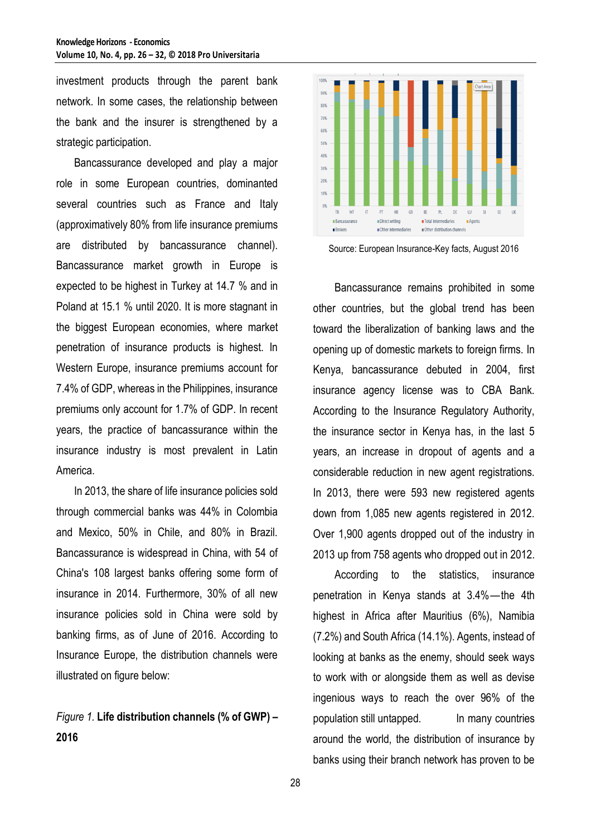investment products through the parent bank network. In some cases, the relationship between the bank and the insurer is strengthened by a strategic participation.

Bancassurance developed and play a major role in some European countries, dominanted several countries such as France and Italy (approximatively 80% from life insurance premiums are distributed by bancassurance channel). Bancassurance market growth in Europe is expected to be highest in Turkey at 14.7 % and in Poland at 15.1 % until 2020. It is more stagnant in the biggest European economies, where market penetration of insurance products is highest. In Western Europe, insurance premiums account for 7.4% of GDP, whereas in the Philippines, insurance premiums only account for 1.7% of GDP. In recent years, the practice of bancassurance within the insurance industry is most prevalent in Latin America.

In 2013, the share of life insurance policies sold through commercial banks was 44% in Colombia and Mexico, 50% in Chile, and 80% in Brazil. Bancassurance is widespread in China, with 54 of China's 108 largest banks offering some form of insurance in 2014. Furthermore, 30% of all new insurance policies sold in China were sold by banking firms, as of June of 2016. According to Insurance Europe, the distribution channels were illustrated on figure below:

### *Figure 1.* **Life distribution channels (% of GWP) – 2016**



Source: European Insurance-Key facts, August 2016

Bancassurance remains prohibited in some other countries, but the global trend has been toward the liberalization of banking laws and the opening up of domestic markets to foreign firms. In Kenya, bancassurance debuted in 2004, first insurance agency license was to CBA Bank. According to the Insurance Regulatory Authority, the insurance sector in Kenya has, in the last 5 years, an increase in dropout of agents and a considerable reduction in new agent registrations. In 2013, there were 593 new registered agents down from 1,085 new agents registered in 2012. Over 1,900 agents dropped out of the industry in 2013 up from 758 agents who dropped out in 2012.

According to the statistics, insurance penetration in Kenya stands at 3.4%—the 4th highest in Africa after Mauritius (6%), Namibia (7.2%) and South Africa (14.1%). Agents, instead of looking at banks as the enemy, should seek ways to work with or alongside them as well as devise ingenious ways to reach the over 96% of the population still untapped. In many countries around the world, the distribution of insurance by banks using their branch network has proven to be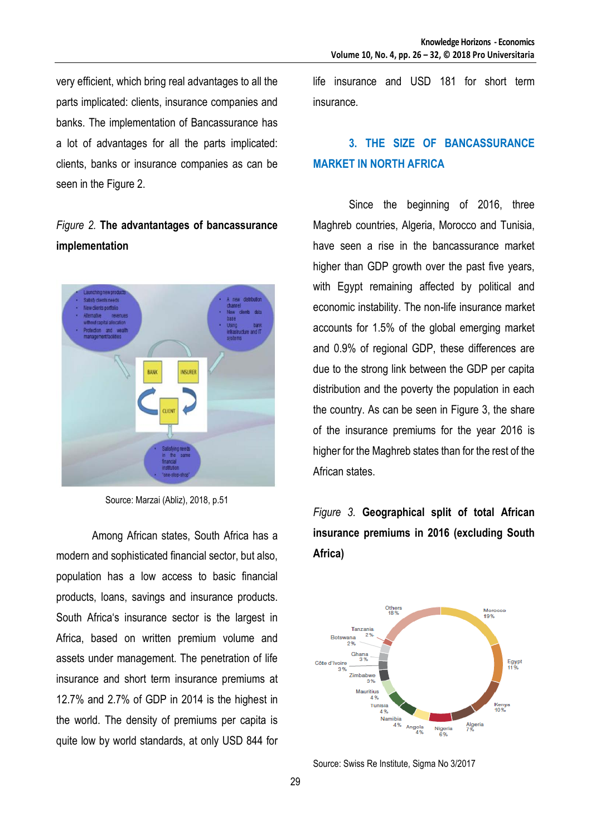very efficient, which bring real advantages to all the parts implicated: clients, insurance companies and banks. The implementation of Bancassurance has a lot of advantages for all the parts implicated: clients, banks or insurance companies as can be seen in the Figure 2.

## *Figure 2.* **The advantantages of bancassurance implementation**



Source: Marzai (Abliz), 2018, p.51

Among African states, South Africa has a modern and sophisticated financial sector, but also, population has a low access to basic financial products, loans, savings and insurance products. South Africa's insurance sector is the largest in Africa, based on written premium volume and assets under management. The penetration of life insurance and short term insurance premiums at 12.7% and 2.7% of GDP in 2014 is the highest in the world. The density of premiums per capita is quite low by world standards, at only USD 844 for

life insurance and USD 181 for short term insurance.

## **3. THE SIZE OF BANCASSURANCE MARKET IN NORTH AFRICA**

Since the beginning of 2016, three Maghreb countries, Algeria, Morocco and Tunisia, have seen a rise in the bancassurance market higher than GDP growth over the past five years, with Egypt remaining affected by political and economic instability. The non-life insurance market accounts for 1.5% of the global emerging market and 0.9% of regional GDP, these differences are due to the strong link between the GDP per capita distribution and the poverty the population in each the country. As can be seen in Figure 3, the share of the insurance premiums for the year 2016 is higher for the Maghreb states than for the rest of the African states.

# *Figure 3.* **Geographical split of total African insurance premiums in 2016 (excluding South Africa)**



Source: Swiss Re Institute, Sigma No 3/2017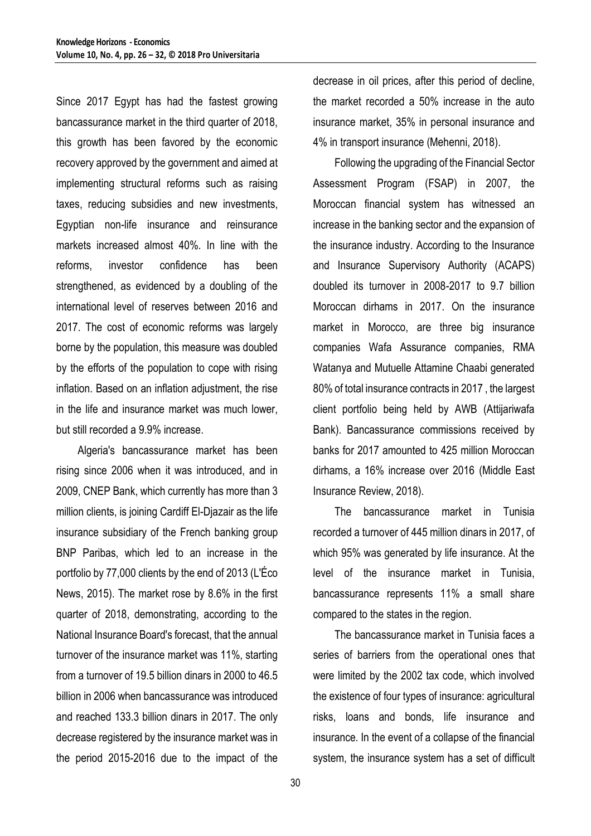Since 2017 Egypt has had the fastest growing bancassurance market in the third quarter of 2018, this growth has been favored by the economic recovery approved by the government and aimed at implementing structural reforms such as raising taxes, reducing subsidies and new investments, Egyptian non-life insurance and reinsurance markets increased almost 40%. In line with the reforms, investor confidence has been strengthened, as evidenced by a doubling of the international level of reserves between 2016 and 2017. The cost of economic reforms was largely borne by the population, this measure was doubled by the efforts of the population to cope with rising inflation. Based on an inflation adjustment, the rise in the life and insurance market was much lower, but still recorded a 9.9% increase.

Algeria's bancassurance market has been rising since 2006 when it was introduced, and in 2009, CNEP Bank, which currently has more than 3 million clients, is joining Cardiff El-Djazair as the life insurance subsidiary of the French banking group BNP Paribas, which led to an increase in the portfolio by 77,000 clients by the end of 2013 (L'Éco News, 2015). The market rose by 8.6% in the first quarter of 2018, demonstrating, according to the National Insurance Board's forecast, that the annual turnover of the insurance market was 11%, starting from a turnover of 19.5 billion dinars in 2000 to 46.5 billion in 2006 when bancassurance was introduced and reached 133.3 billion dinars in 2017. The only decrease registered by the insurance market was in the period 2015-2016 due to the impact of the

decrease in oil prices, after this period of decline, the market recorded a 50% increase in the auto insurance market, 35% in personal insurance and 4% in transport insurance (Mehenni, 2018).

Following the upgrading of the Financial Sector Assessment Program (FSAP) in 2007, the Moroccan financial system has witnessed an increase in the banking sector and the expansion of the insurance industry. According to the Insurance and Insurance Supervisory Authority (ACAPS) doubled its turnover in 2008-2017 to 9.7 billion Moroccan dirhams in 2017. On the insurance market in Morocco, are three big insurance companies Wafa Assurance companies, RMA Watanya and Mutuelle Attamine Chaabi generated 80% of total insurance contracts in 2017 , the largest client portfolio being held by AWB (Attijariwafa Bank). Bancassurance commissions received by banks for 2017 amounted to 425 million Moroccan dirhams, a 16% increase over 2016 (Middle East Insurance Review, 2018).

The bancassurance market in Tunisia recorded a turnover of 445 million dinars in 2017, of which 95% was generated by life insurance. At the level of the insurance market in Tunisia, bancassurance represents 11% a small share compared to the states in the region.

The bancassurance market in Tunisia faces a series of barriers from the operational ones that were limited by the 2002 tax code, which involved the existence of four types of insurance: agricultural risks, loans and bonds, life insurance and insurance. In the event of a collapse of the financial system, the insurance system has a set of difficult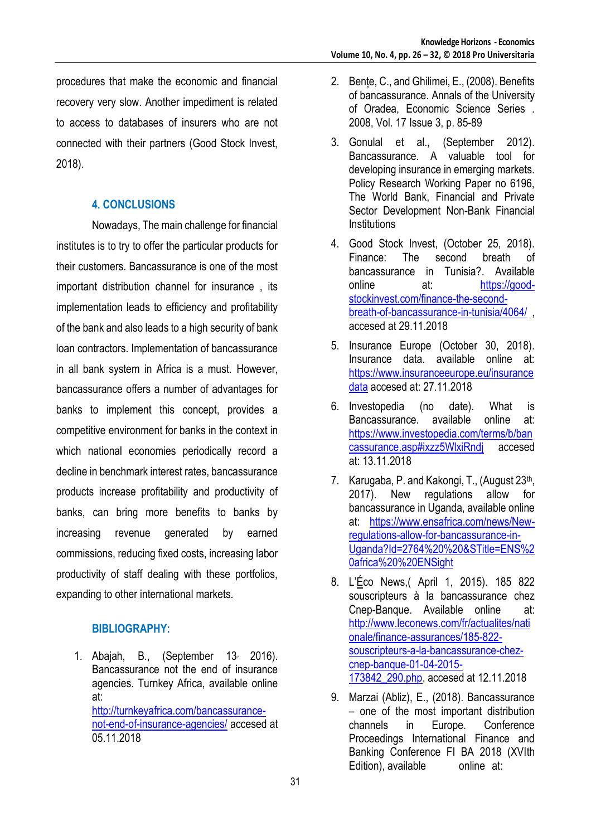procedures that make the economic and financial recovery very slow. Another impediment is related to access to databases of insurers who are not connected with their partners (Good Stock Invest, 2018).

#### **4. CONCLUSIONS**

Nowadays, The main challenge for financial institutes is to try to offer the particular products for their customers. Bancassurance is one of the most important distribution channel for insurance , its implementation leads to efficiency and profitability of the bank and also leads to a high security of bank loan contractors. Implementation of bancassurance in all bank system in Africa is a must. However, bancassurance offers a number of advantages for banks to implement this concept, provides a competitive environment for banks in the context in which national economies periodically record a decline in benchmark interest rates, bancassurance products increase profitability and productivity of banks, can bring more benefits to banks by increasing revenue generated by earned commissions, reducing fixed costs, increasing labor productivity of staff dealing with these portfolios, expanding to other international markets.

#### **BIBLIOGRAPHY:**

1. Abajah, B., (September 13, 2016). Bancassurance not the end of insurance agencies. Turnkey Africa, available online at: [http://turnkeyafrica.com/bancassurance](http://turnkeyafrica.com/bancassurance-not-end-of-insurance-agencies/)[not-end-of-insurance-agencies/](http://turnkeyafrica.com/bancassurance-not-end-of-insurance-agencies/) accesed at 05.11.2018

- 2. Bențe, C., and Ghilimei, E., (2008). Benefits of bancassurance. Annals of the University of Oradea, Economic Science Series . 2008, Vol. 17 Issue 3, p. 85-89
- 3. Gonulal et al., (September 2012). Bancassurance. A valuable tool for developing insurance in emerging markets. Policy Research Working Paper no 6196, The World Bank, Financial and Private Sector Development Non-Bank Financial **Institutions**
- 4. Good Stock Invest, (October 25, 2018). Finance: The second breath of bancassurance in Tunisia?. Available online at: [https://good](https://good-stockinvest.com/finance-the-second-breath-of-bancassurance-in-tunisia/4064/)[stockinvest.com/finance-the-second](https://good-stockinvest.com/finance-the-second-breath-of-bancassurance-in-tunisia/4064/)[breath-of-bancassurance-in-tunisia/4064/](https://good-stockinvest.com/finance-the-second-breath-of-bancassurance-in-tunisia/4064/) , accesed at 29.11.2018
- 5. Insurance Europe (October 30, 2018). Insurance data. available online at: [https://www.insuranceeurope.eu/insurance](https://www.insuranceeurope.eu/insurancedata) [data](https://www.insuranceeurope.eu/insurancedata) accesed at: 27.11.2018
- 6. Investopedia (no date). What is Bancassurance. available online at: [https://www.investopedia.com/terms/b/ban](https://www.investopedia.com/terms/b/bancassurance.asp#ixzz5WlxiRndj) [cassurance.asp#ixzz5WlxiRndj](https://www.investopedia.com/terms/b/bancassurance.asp#ixzz5WlxiRndj) accesed at: 13.11.2018
- 7. Karugaba, P. and Kakongi, T., (August 23<sup>th</sup>, 2017). New regulations allow for bancassurance in Uganda, available online at: [https://www.ensafrica.com/news/New](https://www.ensafrica.com/news/New-regulations-allow-for-bancassurance-in-Uganda?Id=2764%20%20&STitle=ENS%20africa%20%20ENSight)[regulations-allow-for-bancassurance-in-](https://www.ensafrica.com/news/New-regulations-allow-for-bancassurance-in-Uganda?Id=2764%20%20&STitle=ENS%20africa%20%20ENSight)[Uganda?Id=2764%20%20&STitle=ENS%2](https://www.ensafrica.com/news/New-regulations-allow-for-bancassurance-in-Uganda?Id=2764%20%20&STitle=ENS%20africa%20%20ENSight) [0africa%20%20ENSight](https://www.ensafrica.com/news/New-regulations-allow-for-bancassurance-in-Uganda?Id=2764%20%20&STitle=ENS%20africa%20%20ENSight)
- 8. L'[Éc](https://ro.wikipedia.org/w/index.php?title=%C3%89&action=edit&redlink=1)o News,( April 1, 2015). 185 822 souscripteurs à la bancassurance chez Cnep-Banque. Available online at: [http://www.leconews.com/fr/actualites/nati](http://www.leconews.com/fr/actualites/nationale/finance-assurances/185-822-souscripteurs-a-la-bancassurance-chez-cnep-banque-01-04-2015-173842_290.php) [onale/finance-assurances/185-822](http://www.leconews.com/fr/actualites/nationale/finance-assurances/185-822-souscripteurs-a-la-bancassurance-chez-cnep-banque-01-04-2015-173842_290.php) [souscripteurs-a-la-bancassurance-chez](http://www.leconews.com/fr/actualites/nationale/finance-assurances/185-822-souscripteurs-a-la-bancassurance-chez-cnep-banque-01-04-2015-173842_290.php)[cnep-banque-01-04-2015-](http://www.leconews.com/fr/actualites/nationale/finance-assurances/185-822-souscripteurs-a-la-bancassurance-chez-cnep-banque-01-04-2015-173842_290.php) [173842\\_290.php,](http://www.leconews.com/fr/actualites/nationale/finance-assurances/185-822-souscripteurs-a-la-bancassurance-chez-cnep-banque-01-04-2015-173842_290.php) accesed at 12.11.2018
- 9. Marzai (Abliz), E., (2018). Bancassurance – one of the most important distribution channels in Europe. Conference Proceedings International Finance and Banking Conference FI BA 2018 (XVIth Edition), available online at: